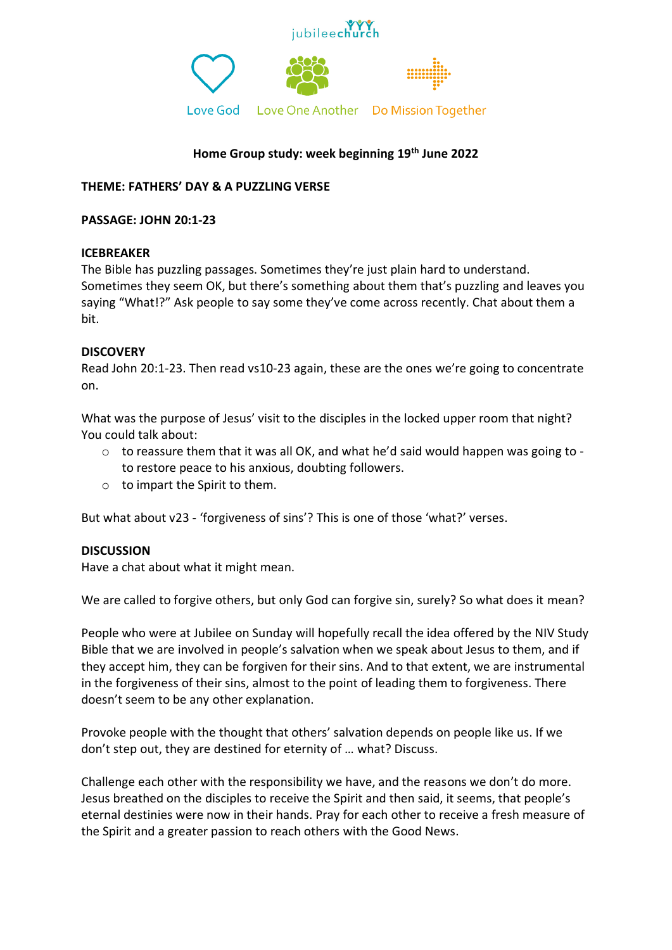



# **Home Group study: week beginning 19 th June 2022**

# **THEME: FATHERS' DAY & A PUZZLING VERSE**

#### **PASSAGE: JOHN 20:1-23**

## **ICEBREAKER**

The Bible has puzzling passages. Sometimes they're just plain hard to understand. Sometimes they seem OK, but there's something about them that's puzzling and leaves you saying "What!?" Ask people to say some they've come across recently. Chat about them a bit.

#### **DISCOVERY**

Read John 20:1-23. Then read vs10-23 again, these are the ones we're going to concentrate on.

What was the purpose of Jesus' visit to the disciples in the locked upper room that night? You could talk about:

- $\circ$  to reassure them that it was all OK, and what he'd said would happen was going to to restore peace to his anxious, doubting followers.
- o to impart the Spirit to them.

But what about v23 - 'forgiveness of sins'? This is one of those 'what?' verses.

## **DISCUSSION**

Have a chat about what it might mean.

We are called to forgive others, but only God can forgive sin, surely? So what does it mean?

People who were at Jubilee on Sunday will hopefully recall the idea offered by the NIV Study Bible that we are involved in people's salvation when we speak about Jesus to them, and if they accept him, they can be forgiven for their sins. And to that extent, we are instrumental in the forgiveness of their sins, almost to the point of leading them to forgiveness. There doesn't seem to be any other explanation.

Provoke people with the thought that others' salvation depends on people like us. If we don't step out, they are destined for eternity of … what? Discuss.

Challenge each other with the responsibility we have, and the reasons we don't do more. Jesus breathed on the disciples to receive the Spirit and then said, it seems, that people's eternal destinies were now in their hands. Pray for each other to receive a fresh measure of the Spirit and a greater passion to reach others with the Good News.